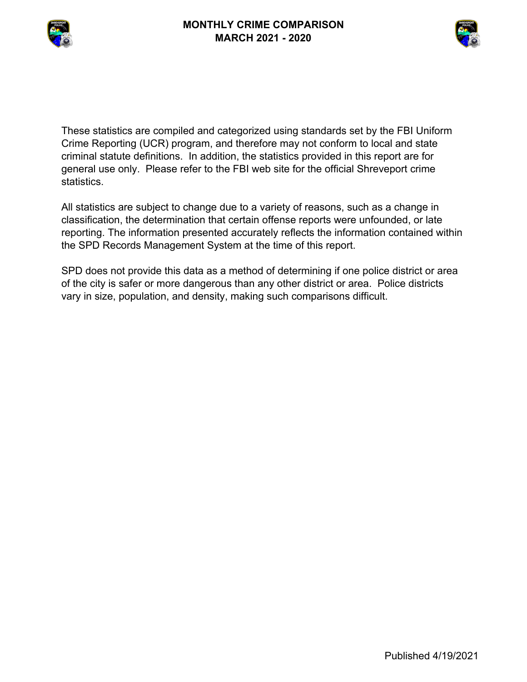



These statistics are compiled and categorized using standards set by the FBI Uniform Crime Reporting (UCR) program, and therefore may not conform to local and state criminal statute definitions. In addition, the statistics provided in this report are for general use only. Please refer to the FBI web site for the official Shreveport crime statistics.

All statistics are subject to change due to a variety of reasons, such as a change in classification, the determination that certain offense reports were unfounded, or late reporting. The information presented accurately reflects the information contained within the SPD Records Management System at the time of this report.

SPD does not provide this data as a method of determining if one police district or area of the city is safer or more dangerous than any other district or area. Police districts vary in size, population, and density, making such comparisons difficult.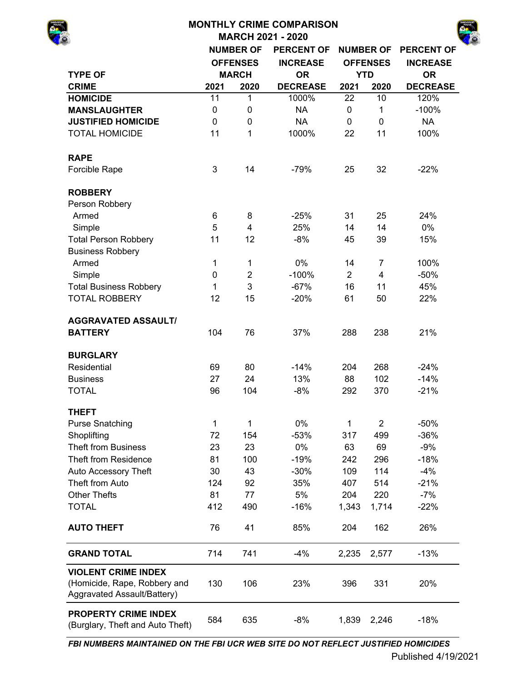| <b>MONTHLY CRIME COMPARISON</b>                                                           |             |                  |                          |                |                          |                   |  |  |  |  |  |  |  |
|-------------------------------------------------------------------------------------------|-------------|------------------|--------------------------|----------------|--------------------------|-------------------|--|--|--|--|--|--|--|
|                                                                                           |             |                  | <b>MARCH 2021 - 2020</b> |                |                          |                   |  |  |  |  |  |  |  |
|                                                                                           |             | <b>NUMBER OF</b> | <b>PERCENT OF</b>        |                | <b>NUMBER OF</b>         | <b>PERCENT OF</b> |  |  |  |  |  |  |  |
|                                                                                           |             | <b>OFFENSES</b>  | <b>INCREASE</b>          |                | <b>OFFENSES</b>          | <b>INCREASE</b>   |  |  |  |  |  |  |  |
| <b>TYPE OF</b>                                                                            |             | <b>MARCH</b>     | <b>OR</b>                | <b>YTD</b>     |                          | <b>OR</b>         |  |  |  |  |  |  |  |
| <b>CRIME</b>                                                                              | 2021        | 2020             | <b>DECREASE</b>          | 2021           | 2020                     | <b>DECREASE</b>   |  |  |  |  |  |  |  |
| <b>HOMICIDE</b>                                                                           | 11          | $\mathbf 1$      | 1000%                    | 22             | 10                       | 120%              |  |  |  |  |  |  |  |
| <b>MANSLAUGHTER</b>                                                                       | $\mathbf 0$ | 0                | <b>NA</b>                | 0              | 1                        | $-100%$           |  |  |  |  |  |  |  |
| <b>JUSTIFIED HOMICIDE</b>                                                                 | $\pmb{0}$   | 0                | <b>NA</b>                | $\mathbf 0$    | $\mathbf 0$              | <b>NA</b>         |  |  |  |  |  |  |  |
| <b>TOTAL HOMICIDE</b>                                                                     | 11          | 1                | 1000%                    | 22             | 11                       | 100%              |  |  |  |  |  |  |  |
| <b>RAPE</b>                                                                               |             |                  |                          |                |                          |                   |  |  |  |  |  |  |  |
| Forcible Rape                                                                             | 3           | 14               | $-79%$                   | 25             | 32                       | $-22%$            |  |  |  |  |  |  |  |
| <b>ROBBERY</b>                                                                            |             |                  |                          |                |                          |                   |  |  |  |  |  |  |  |
| Person Robbery                                                                            |             |                  |                          |                |                          |                   |  |  |  |  |  |  |  |
| Armed                                                                                     | 6           | 8                | $-25%$                   | 31             | 25                       | 24%               |  |  |  |  |  |  |  |
| Simple                                                                                    | 5           | 4                | 25%                      | 14             | 14                       | 0%                |  |  |  |  |  |  |  |
| <b>Total Person Robbery</b>                                                               | 11          | 12               | $-8%$                    | 45             | 39                       | 15%               |  |  |  |  |  |  |  |
| <b>Business Robbery</b>                                                                   |             |                  |                          |                |                          |                   |  |  |  |  |  |  |  |
| Armed                                                                                     | 1           | 1                | 0%                       | 14             | 7                        | 100%              |  |  |  |  |  |  |  |
| Simple                                                                                    | 0           | $\overline{c}$   | $-100%$                  | $\overline{2}$ | $\overline{\mathcal{A}}$ | $-50%$            |  |  |  |  |  |  |  |
| <b>Total Business Robbery</b>                                                             | 1           | 3                | $-67%$                   | 16             | 11                       | 45%               |  |  |  |  |  |  |  |
| <b>TOTAL ROBBERY</b>                                                                      | 12          | 15               | $-20%$                   | 61             | 50                       | 22%               |  |  |  |  |  |  |  |
| <b>AGGRAVATED ASSAULT/</b>                                                                |             |                  |                          |                |                          |                   |  |  |  |  |  |  |  |
| <b>BATTERY</b>                                                                            | 104         | 76               | 37%                      | 288            | 238                      | 21%               |  |  |  |  |  |  |  |
| <b>BURGLARY</b>                                                                           |             |                  |                          |                |                          |                   |  |  |  |  |  |  |  |
| Residential                                                                               | 69          | 80               | $-14%$                   | 204            | 268                      | $-24%$            |  |  |  |  |  |  |  |
| <b>Business</b>                                                                           | 27          | 24               | 13%                      | 88             | 102                      | $-14%$            |  |  |  |  |  |  |  |
| <b>TOTAL</b>                                                                              | 96          | 104              | $-8%$                    | 292            | 370                      | $-21%$            |  |  |  |  |  |  |  |
| <b>THEFT</b>                                                                              |             |                  |                          |                |                          |                   |  |  |  |  |  |  |  |
| <b>Purse Snatching</b>                                                                    | 1           | 1                | 0%                       | 1              | $\overline{2}$           | $-50%$            |  |  |  |  |  |  |  |
| Shoplifting                                                                               | 72          | 154              | $-53%$                   | 317            | 499                      | $-36%$            |  |  |  |  |  |  |  |
| <b>Theft from Business</b>                                                                | 23          | 23               | 0%                       | 63             | 69                       | $-9%$             |  |  |  |  |  |  |  |
| <b>Theft from Residence</b>                                                               | 81          | 100              | $-19%$                   | 242            | 296                      | $-18%$            |  |  |  |  |  |  |  |
| Auto Accessory Theft                                                                      | 30          | 43               | $-30%$                   | 109            | 114                      | $-4%$             |  |  |  |  |  |  |  |
| Theft from Auto                                                                           | 124         | 92               | 35%                      | 407            | 514                      | $-21%$            |  |  |  |  |  |  |  |
| <b>Other Thefts</b>                                                                       | 81          | 77               | 5%                       | 204            | 220                      | $-7%$             |  |  |  |  |  |  |  |
| <b>TOTAL</b>                                                                              | 412         | 490              | $-16%$                   | 1,343          | 1,714                    | $-22%$            |  |  |  |  |  |  |  |
| <b>AUTO THEFT</b>                                                                         | 76          | 41               | 85%                      | 204            | 162                      | 26%               |  |  |  |  |  |  |  |
| <b>GRAND TOTAL</b>                                                                        | 714         | 741              | $-4%$                    | 2,235          | 2,577                    | $-13%$            |  |  |  |  |  |  |  |
| <b>VIOLENT CRIME INDEX</b><br>(Homicide, Rape, Robbery and<br>Aggravated Assault/Battery) | 130         | 106              | 23%                      | 396            | 331                      | 20%               |  |  |  |  |  |  |  |

584 635 -8% 1,839 2,246 -18% **PROPERTY CRIME INDEX**  (Burglary, Theft and Auto Theft)

*FBI NUMBERS MAINTAINED ON THE FBI UCR WEB SITE DO NOT REFLECT JUSTIFIED HOMICIDES*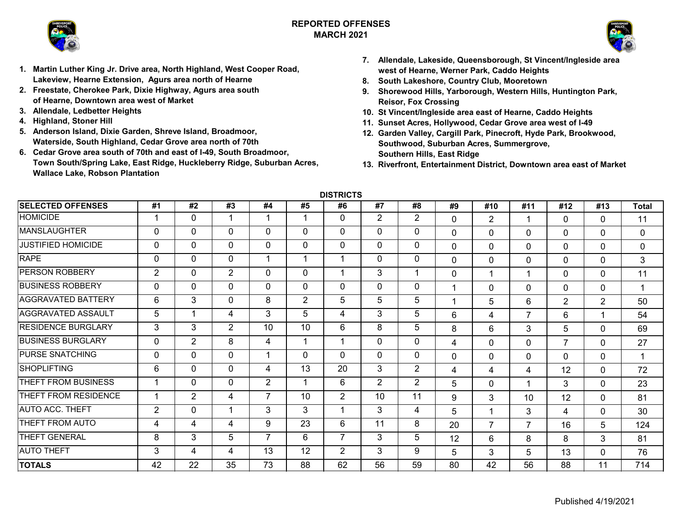

# **REPORTED OFFENSESMARCH 2021**



- **1. Martin Luther King Jr. Drive area, North Highland, West Cooper Road, Lakeview, Hearne Extension, Agurs area north of Hearne**
- **2. Freestate, Cherokee Park, Dixie Highway, Agurs area south of Hearne, Downtown area west of Market**
- **3. Allendale, Ledbetter Heights**
- **4. Highland, Stoner Hill**
- **5. Anderson Island, Dixie Garden, Shreve Island, Broadmoor, Waterside, South Highland, Cedar Grove area north of 70th**
- **6. Cedar Grove area south of 70th and east of I-49, South Broadmoor, Town South/Spring Lake, East Ridge, Huckleberry Ridge, Suburban Acres, Wallace Lake, Robson Plantation**
- **7. Allendale, Lakeside, Queensborough, St Vincent/Ingleside area west of Hearne, Werner Park, Caddo Heights**
- **8. South Lakeshore, Country Club, Mooretown**
- **9. Shorewood Hills, Yarborough, Western Hills, Huntington Park, Reisor, Fox Crossing**
- **10. St Vincent/Ingleside area east of Hearne, Caddo Heights**
- **11. Sunset Acres, Hollywood, Cedar Grove area west of I-49**
- **12. Garden Valley, Cargill Park, Pinecroft, Hyde Park, Brookwood, Southwood, Suburban Acres, Summergrove, Southern Hills, East Ridge**
- **13. Riverfront, Entertainment District, Downtown area east of Market**

**DISTRICTS**

| <b>SELECTED OFFENSES</b>  | #1             | #2             | #3             | #4             | #5           | #6             | #7             | #8             | #9           | #10            | #11            | #12            | #13            | <b>Total</b> |
|---------------------------|----------------|----------------|----------------|----------------|--------------|----------------|----------------|----------------|--------------|----------------|----------------|----------------|----------------|--------------|
| <b>HOMICIDE</b>           |                | 0              | 1              |                | 1            | $\mathbf 0$    | $\overline{2}$ | $\overline{2}$ | $\Omega$     | $\overline{2}$ |                | $\Omega$       | $\Omega$       | 11           |
| <b>MANSLAUGHTER</b>       | 0              | 0              | $\mathbf 0$    | $\Omega$       | $\Omega$     | $\mathbf 0$    | 0              | 0              | $\mathbf 0$  | $\Omega$       | 0              | $\mathbf 0$    | 0              | $\mathbf{0}$ |
| <b>JUSTIFIED HOMICIDE</b> | 0              | 0              | $\mathbf 0$    | $\Omega$       | $\mathbf 0$  | $\mathbf 0$    | $\mathbf 0$    | 0              | $\mathbf{0}$ | $\mathbf{0}$   | 0              | $\mathbf 0$    | $\Omega$       | 0            |
| <b>RAPE</b>               | $\mathbf{0}$   | 0              | $\mathbf{0}$   |                |              | 1              | 0              | 0              | $\Omega$     | $\Omega$       | 0              | $\mathbf 0$    | $\Omega$       | 3            |
| <b>PERSON ROBBERY</b>     | $\overline{2}$ | 0              | $\overline{2}$ | $\Omega$       | $\mathbf 0$  | 1              | 3              |                | $\Omega$     |                |                | $\Omega$       | $\Omega$       | 11           |
| <b>BUSINESS ROBBERY</b>   | $\mathbf{0}$   | 0              | $\mathbf{0}$   | $\Omega$       | $\mathbf{0}$ | $\mathbf{0}$   | $\mathbf{0}$   | 0              |              | $\Omega$       | $\Omega$       | $\mathbf 0$    | 0              | 1            |
| <b>AGGRAVATED BATTERY</b> | 6              | 3              | $\mathbf{0}$   | 8              | 2            | 5              | 5              | 5              |              | 5              | 6              | $\overline{2}$ | $\overline{2}$ | 50           |
| <b>AGGRAVATED ASSAULT</b> | 5              | 1              | 4              | 3              | 5            | 4              | 3              | 5              | 6            | 4              | $\overline{7}$ | 6              |                | 54           |
| <b>RESIDENCE BURGLARY</b> | 3              | 3              | $\overline{2}$ | 10             | 10           | 6              | 8              | 5              | 8            | 6              | 3              | 5              | $\Omega$       | 69           |
| <b>BUSINESS BURGLARY</b>  | $\Omega$       | $\overline{2}$ | 8              | 4              |              | 1              | $\Omega$       | 0              | 4            | $\Omega$       | 0              | $\overline{7}$ | $\Omega$       | 27           |
| <b>PURSE SNATCHING</b>    | 0              | 0              | $\mathbf{0}$   |                | $\Omega$     | $\mathbf{0}$   | $\Omega$       | 0              | $\mathbf 0$  | $\Omega$       | 0              | $\mathbf 0$    | 0              | 1            |
| <b>SHOPLIFTING</b>        | 6              | 0              | $\mathbf{0}$   | 4              | 13           | 20             | 3              | $\overline{2}$ | 4            | 4              | 4              | 12             | $\Omega$       | 72           |
| THEFT FROM BUSINESS       |                | 0              | $\mathbf 0$    | 2              |              | 6              | 2              | $\overline{2}$ | 5            | $\Omega$       |                | 3              | $\Omega$       | 23           |
| THEFT FROM RESIDENCE      |                | $\overline{2}$ | 4              | $\overline{7}$ | 10           | $\overline{2}$ | 10             | 11             | 9            | 3              | 10             | 12             | $\Omega$       | 81           |
| <b>AUTO ACC. THEFT</b>    | 2              | $\mathbf 0$    | 1              | 3              | 3            | 1              | 3              | 4              | 5            |                | 3              | $\overline{4}$ | $\Omega$       | 30           |
| THEFT FROM AUTO           | 4              | 4              | 4              | 9              | 23           | 6              | 11             | 8              | 20           | 7              | $\overline{7}$ | 16             | 5              | 124          |
| THEFT GENERAL             | 8              | 3              | 5              | $\overline{ }$ | 6            | $\overline{7}$ | 3              | 5              | 12           | 6              | 8              | 8              | 3              | 81           |
| <b>AUTO THEFT</b>         | 3              | 4              | 4              | 13             | 12           | $\overline{2}$ | 3              | 9              | 5            | 3              | 5              | 13             | 0              | 76           |
| <b>TOTALS</b>             | 42             | 22             | 35             | 73             | 88           | 62             | 56             | 59             | 80           | 42             | 56             | 88             | 11             | 714          |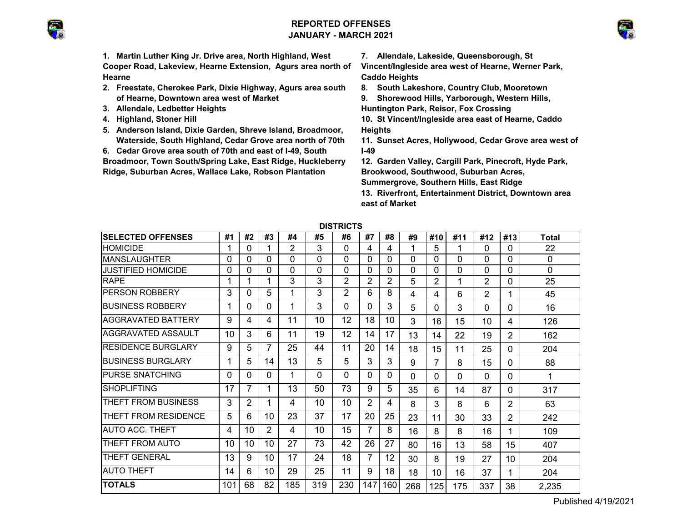# **REPORTED OFFENSESJANUARY - MARCH 2021**



**1. Martin Luther King Jr. Drive area, North Highland, West Cooper Road, Lakeview, Hearne Extension, Agurs area north of Hearne**

- **2. Freestate, Cherokee Park, Dixie Highway, Agurs area south of Hearne, Downtown area west of Market**
- **3. Allendale, Ledbetter Heights**
- **4. Highland, Stoner Hill**
- **5. Anderson Island, Dixie Garden, Shreve Island, Broadmoor, Waterside, South Highland, Cedar Grove area north of 70th**
- **6. Cedar Grove area south of 70th and east of I-49, South**

**Broadmoor, Town South/Spring Lake, East Ridge, Huckleberry Ridge, Suburban Acres, Wallace Lake, Robson Plantation** 

**7. Allendale, Lakeside, Queensborough, St** 

**Vincent/Ingleside area west of Hearne, Werner Park, Caddo Heights**

**8. South Lakeshore, Country Club, Mooretown**

**9. Shorewood Hills, Yarborough, Western Hills,** 

**Huntington Park, Reisor, Fox Crossing**

- **10. St Vincent/Ingleside area east of Hearne, Caddo Heights**
- **11. Sunset Acres, Hollywood, Cedar Grove area west of I-49**
- **12. Garden Valley, Cargill Park, Pinecroft, Hyde Park, Brookwood, Southwood, Suburban Acres, Summergrove, Southern Hills, East Ridge**

**13. Riverfront, Entertainment District, Downtown area east of Market**

|                           |     |    |                |          |          | ט ו טווע |                |          |          |     |     |          |                |              |  |  |  |  |  |  |
|---------------------------|-----|----|----------------|----------|----------|----------|----------------|----------|----------|-----|-----|----------|----------------|--------------|--|--|--|--|--|--|
| <b>SELECTED OFFENSES</b>  | #1  | #2 | #3             | #4       | #5       | #6       | #7             | #8       | #9       | #10 | #11 | #12      | #13            | <b>Total</b> |  |  |  |  |  |  |
| <b>HOMICIDE</b>           | 1   | 0  |                | 2        | 3        | 0        | 4              | 4        |          | 5   | 1   | 0        | 0              | 22           |  |  |  |  |  |  |
| <b>MANSLAUGHTER</b>       | 0   | 0  | 0              | 0        | 0        | 0        | 0              | $\Omega$ | 0        | 0   | 0   | $\Omega$ | 0              | 0            |  |  |  |  |  |  |
| <b>JUSTIFIED HOMICIDE</b> | 0   | 0  | 0              | $\Omega$ | $\Omega$ | 0        | 0              | $\Omega$ | 0        | 0   | 0   | 0        | $\Omega$       | 0            |  |  |  |  |  |  |
| <b>RAPE</b>               |     | 1  | 1              | 3        | 3        | 2        | $\overline{2}$ | 2        | 5        | 2   | 1   | 2        | 0              | 25           |  |  |  |  |  |  |
| <b>PERSON ROBBERY</b>     | 3   | 0  | 5              | 1        | 3        | 2        | 6              | 8        | 4        | 4   | 6   | 2        | 1              | 45           |  |  |  |  |  |  |
| <b>BUSINESS ROBBERY</b>   | 1   | 0  | 0              | 1        | 3        | 0        | $\Omega$       | 3        | 5        | 0   | 3   | 0        | 0              | 16           |  |  |  |  |  |  |
| <b>AGGRAVATED BATTERY</b> | 9   | 4  | 4              | 11       | 10       | 12       | 18             | 10       | 3        | 16  | 15  | 10       | 4              | 126          |  |  |  |  |  |  |
| AGGRAVATED ASSAULT        | 10  | 3  | 6              | 11       | 19       | 12       | 14             | 17       | 13       | 14  | 22  | 19       | 2              | 162          |  |  |  |  |  |  |
| <b>RESIDENCE BURGLARY</b> | 9   | 5  | 7              | 25       | 44       | 11       | 20             | 14       | 18       | 15  | 11  | 25       | 0              | 204          |  |  |  |  |  |  |
| <b>BUSINESS BURGLARY</b>  | 1   | 5  | 14             | 13       | 5        | 5        | 3              | 3        | 9        | 7   | 8   | 15       | 0              | 88           |  |  |  |  |  |  |
| <b>PURSE SNATCHING</b>    | 0   | 0  | 0              | 1        | 0        | 0        | $\Omega$       | $\Omega$ | $\Omega$ | 0   | 0   | $\Omega$ | $\Omega$       | 1            |  |  |  |  |  |  |
| <b>SHOPLIFTING</b>        | 17  | 7  | 1              | 13       | 50       | 73       | 9              | 5        | 35       | 6   | 14  | 87       | 0              | 317          |  |  |  |  |  |  |
| THEFT FROM BUSINESS       | 3   | 2  | 1              | 4        | 10       | 10       | 2              | 4        | 8        | 3   | 8   | 6        | 2              | 63           |  |  |  |  |  |  |
| THEFT FROM RESIDENCE      | 5   | 6  | 10             | 23       | 37       | 17       | 20             | 25       | 23       | 11  | 30  | 33       | $\overline{2}$ | 242          |  |  |  |  |  |  |
| <b>AUTO ACC. THEFT</b>    | 4   | 10 | $\overline{2}$ | 4        | 10       | 15       | 7              | 8        | 16       | 8   | 8   | 16       |                | 109          |  |  |  |  |  |  |
| THEFT FROM AUTO           | 10  | 10 | 10             | 27       | 73       | 42       | 26             | 27       | 80       | 16  | 13  | 58       | 15             | 407          |  |  |  |  |  |  |
| <b>THEFT GENERAL</b>      | 13  | 9  | 10             | 17       | 24       | 18       | 7              | 12       | 30       | 8   | 19  | 27       | 10             | 204          |  |  |  |  |  |  |
| <b>AUTO THEFT</b>         | 14  | 6  | 10             | 29       | 25       | 11       | 9              | 18       | 18       | 10  | 16  | 37       | 1              | 204          |  |  |  |  |  |  |
| <b>TOTALS</b>             | 101 | 68 | 82             | 185      | 319      | 230      | 147            | 160      | 268      | 125 | 175 | 337      | 38             | 2,235        |  |  |  |  |  |  |

**DISTRICTS**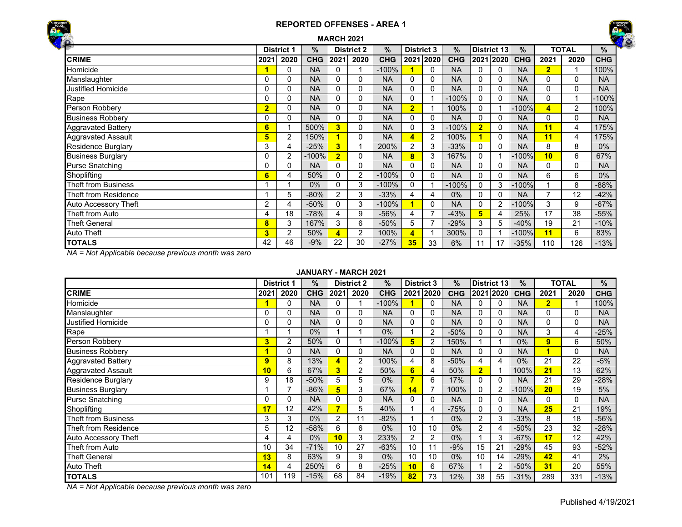



| $\ddot{\bullet}$            |                |                   |            | <b>MARCH 2021</b> |                   |            |                         |           |            |                |             |            |                |              |            |
|-----------------------------|----------------|-------------------|------------|-------------------|-------------------|------------|-------------------------|-----------|------------|----------------|-------------|------------|----------------|--------------|------------|
| <b>River</b>                |                | <b>District 1</b> | ℅          |                   | <b>District 2</b> | $\%$       | <b>District 3</b>       |           | $\%$       |                | District 13 | $\%$       |                | <b>TOTAL</b> | %          |
| <b>CRIME</b>                | 2021           | 2020              | <b>CHG</b> | 2021              | 2020              | <b>CHG</b> |                         | 2021 2020 | <b>CHG</b> |                | 2021 2020   | <b>CHG</b> | 2021           | 2020         | <b>CHG</b> |
| Homicide                    |                | 0                 | <b>NA</b>  | 0                 |                   | $-100%$    |                         | 0         | <b>NA</b>  | $\Omega$       | 0           | <b>NA</b>  | $\overline{2}$ |              | 100%       |
| Manslaughter                | 0              | 0                 | <b>NA</b>  | 0                 | 0                 | <b>NA</b>  | 0                       | 0         | <b>NA</b>  | 0              | 0           | <b>NA</b>  | 0              | 0            | <b>NA</b>  |
| <b>Justified Homicide</b>   | 0              | 0                 | <b>NA</b>  | 0                 | 0                 | <b>NA</b>  | 0                       | 0         | <b>NA</b>  | $\Omega$       | 0           | <b>NA</b>  | 0              | 0            | <b>NA</b>  |
| Rape                        | 0              | 0                 | <b>NA</b>  | 0                 | 0                 | <b>NA</b>  | 0                       |           | $-100%$    | $\Omega$       | 0           | <b>NA</b>  | 0              |              | $-100%$    |
| Person Robbery              | $\overline{2}$ | 0                 | <b>NA</b>  | 0                 | 0                 | <b>NA</b>  | $\overline{2}$          |           | 100%       | 0              |             | $-100%$    | 4              | 2            | 100%       |
| <b>Business Robbery</b>     | 0              | 0                 | <b>NA</b>  | 0                 | 0                 | <b>NA</b>  | 0                       | 0         | <b>NA</b>  | $\Omega$       | 0           | <b>NA</b>  | 0              | $\Omega$     | <b>NA</b>  |
| <b>Aggravated Battery</b>   | 6              |                   | 500%       | 3                 | 0                 | <b>NA</b>  | 0                       | 3         | $-100%$    | $\overline{2}$ |             | <b>NA</b>  | 11             | 4            | 175%       |
| <b>Aggravated Assault</b>   | 5              | 2                 | 150%       |                   | 0                 | <b>NA</b>  | 4                       | 2         | 100%       | 1              | 0           | <b>NA</b>  | 11             | 4            | 175%       |
| <b>Residence Burglary</b>   | 3              | 4                 | $-25%$     | 3                 |                   | 200%       | $\overline{2}$          | 3         | $-33%$     | 0              | 0           | <b>NA</b>  | 8              | 8            | $0\%$      |
| <b>Business Burglary</b>    | 0              | 2                 | $-100%$    | $\overline{2}$    | 0                 | <b>NA</b>  | 8                       | 3         | 167%       | $\Omega$       |             | -100%      | 10             | 6            | 67%        |
| <b>Purse Snatching</b>      | 0              | 0                 | <b>NA</b>  | 0                 | 0                 | <b>NA</b>  | 0                       | 0         | <b>NA</b>  | 0              | 0           | <b>NA</b>  | 0              | 0            | <b>NA</b>  |
| Shoplifting                 | 6              | 4                 | 50%        | 0                 | $\overline{2}$    | $-100%$    | 0                       | 0         | <b>NA</b>  | $\Omega$       | 0           | <b>NA</b>  | 6              | 6            | $0\%$      |
| Theft from Business         |                |                   | 0%         | 0                 | 3                 | $-100%$    | 0                       |           | $-100%$    | $\Omega$       | 3           | $-100\%$   |                | 8            | $-88%$     |
| Theft from Residence        |                | 5                 | $-80%$     | 2                 | 3                 | $-33%$     | 4                       | 4         | $0\%$      | 0              | 0           | <b>NA</b>  |                | 12           | $-42%$     |
| <b>Auto Accessory Theft</b> | 2              | 4                 | $-50%$     | 0                 | 3                 | $-100%$    |                         | 0         | <b>NA</b>  | $\Omega$       |             | $-100%$    | 3              | 9            | $-67%$     |
| Theft from Auto             | 4              | 18                | $-78%$     | 4                 | 9                 | $-56%$     | 4                       |           | $-43%$     | 5              |             | 25%        | 17             | 38           | $-55%$     |
| <b>Theft General</b>        | 8              | 3                 | 167%       | 3                 | 6                 | $-50%$     | 5                       |           | $-29%$     | 3              | 5           | $-40%$     | 19             | 21           | $-10%$     |
| <b>Auto Theft</b>           | 3              | 2                 | 50%        | 4                 | 2                 | 100%       | $\overline{\mathbf{A}}$ |           | 300%       | 0              |             | -100%      | 11             | 6            | 83%        |
| <b>TOTALS</b>               | 42             | 46                | $-9%$      | 22                | 30                | $-27%$     | 35                      | 33        | 6%         | 11             | 17          | $-35%$     | 110            | 126          | $-13%$     |

*NA = Not Applicable because previous month was zero*

#### **JANUARY - MARCH 2021**

|                             |      | <b>District 1</b> | $\%$       |      | <b>District 2</b> | $\frac{1}{2}$ | <b>District 3</b> |                | %          |                | <b>District 13</b> | $\%$       |                | <b>TOTAL</b> | %          |
|-----------------------------|------|-------------------|------------|------|-------------------|---------------|-------------------|----------------|------------|----------------|--------------------|------------|----------------|--------------|------------|
| <b>CRIME</b>                | 2021 | 2020              | <b>CHG</b> | 2021 | 2020              | <b>CHG</b>    |                   | 2021 2020      | <b>CHG</b> |                | 2021 2020          | <b>CHG</b> | 2021           | 2020         | <b>CHG</b> |
| Homicide                    |      | 0                 | NA         |      |                   | $-100\%$      |                   |                | <b>NA</b>  | 0              |                    | <b>NA</b>  | $\overline{2}$ |              | 100%       |
| Manslaughter                | 0    | 0                 | <b>NA</b>  |      | 0                 | <b>NA</b>     | 0                 |                | <b>NA</b>  | 0              |                    | <b>NA</b>  | 0              | $\Omega$     | <b>NA</b>  |
| Justified Homicide          | 0    | 0                 | <b>NA</b>  | 0    | 0                 | <b>NA</b>     | 0                 | $\Omega$       | <b>NA</b>  | 0              |                    | <b>NA</b>  | $\Omega$       | 0            | <b>NA</b>  |
| Rape                        |      |                   | 0%         |      |                   | 0%            |                   | $\overline{2}$ | $-50%$     | 0              |                    | <b>NA</b>  | 3              | 4            | $-25%$     |
| Person Robbery              | 3    | 2                 | 50%        | 0    |                   | $-100%$       | 5                 | 2              | 150%       |                |                    | 0%         | 9              | 6            | 50%        |
| <b>Business Robberv</b>     |      | $\mathbf 0$       | <b>NA</b>  | 0    | 0                 | <b>NA</b>     | 0                 |                | <b>NA</b>  | 0              |                    | <b>NA</b>  |                | $\Omega$     | <b>NA</b>  |
| <b>Aggravated Battery</b>   | 9    | 8                 | 13%        | 4    | 2                 | 100%          | 4                 | 8              | $-50%$     | 4              | 4                  | $0\%$      | 21             | 22           | $-5%$      |
| <b>Aggravated Assault</b>   | 10   | 6                 | 67%        | 3    | $\overline{2}$    | 50%           | 6                 |                | 50%        | $\overline{2}$ |                    | 100%       | 21             | 13           | 62%        |
| <b>Residence Burglary</b>   | 9    | 18                | $-50%$     | 5    | 5                 | 0%            |                   | 6              | 17%        | 0              |                    | <b>NA</b>  | 21             | 29           | $-28%$     |
| <b>Business Burglary</b>    |      | ⇁                 | $-86%$     | 5    | 3                 | 67%           | 14                |                | 100%       | 0              |                    | $-100%$    | 20             | 19           | 5%         |
| <b>Purse Snatching</b>      | 0    | $\mathbf{0}$      | <b>NA</b>  | 0    | 0                 | <b>NA</b>     | 0                 | $\Omega$       | <b>NA</b>  | 0              |                    | <b>NA</b>  | 0              | $\Omega$     | <b>NA</b>  |
| Shoplifting                 | 17   | 12                | 42%        |      | 5                 | 40%           |                   | 4              | $-75%$     | 0              |                    | <b>NA</b>  | 25             | 21           | 19%        |
| Theft from Business         | 3    | 3                 | $0\%$      | 2    | 11                | $-82%$        |                   |                | 0%         | 2              |                    | $-33%$     | 8              | 18           | -56%       |
| Theft from Residence        | 5    | 12                | $-58%$     | 6    | 6                 | 0%            | 10                | 10             | $0\%$      | $\overline{2}$ |                    | $-50%$     | 23             | 32           | $-28%$     |
| <b>Auto Accessory Theft</b> | 4    | 4                 | 0%         | 10   | 3                 | 233%          | $\overline{2}$    | 2              | 0%         |                |                    | $-67%$     | 17             | 12           | 42%        |
| Theft from Auto             | 10   | 34                | $-71%$     | 10   | 27                | $-63%$        | 10                |                | $-9%$      | 15             | 21                 | $-29%$     | 45             | 93           | $-52%$     |
| <b>Theft General</b>        | 13   | 8                 | 63%        | 9    | 9                 | 0%            | 10                | 10             | $0\%$      | 10             | 14                 | $-29%$     | 42             | 41           | 2%         |
| <b>Auto Theft</b>           | 14   | 4                 | 250%       | 6    | 8                 | $-25%$        | 10                | 6              | 67%        |                | $\overline{2}$     | $-50%$     | 31             | 20           | 55%        |
| <b>TOTALS</b>               | 101  | 119               | $-15%$     | 68   | 84                | $-19%$        | 82                | 73             | 12%        | 38             | 55                 | $-31%$     | 289            | 331          | $-13%$     |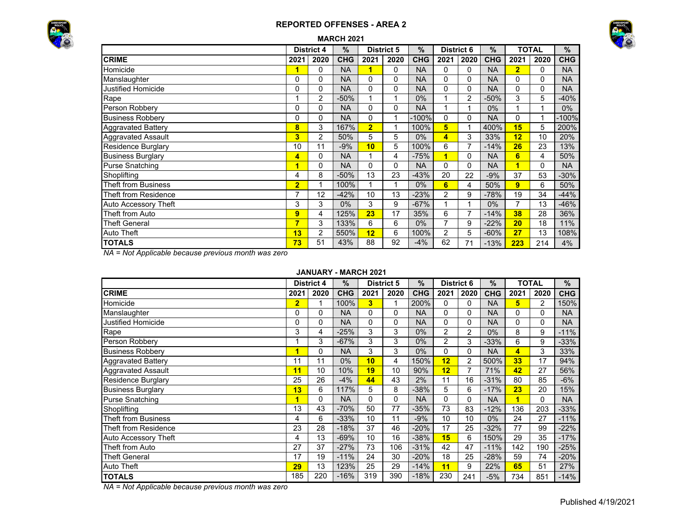



|                             |                | <b>District 4</b> | $\%$       |                | <b>District 5</b> | $\%$       | <b>District 6</b> |          | $\%$       |                | <b>TOTAL</b> | %          |
|-----------------------------|----------------|-------------------|------------|----------------|-------------------|------------|-------------------|----------|------------|----------------|--------------|------------|
| <b>CRIME</b>                | 2021           | 2020              | <b>CHG</b> | 2021           | 2020              | <b>CHG</b> | 2021              | 2020     | <b>CHG</b> | 2021           | 2020         | <b>CHG</b> |
| Homicide                    | 1              | 0                 | <b>NA</b>  | 1              | 0                 | <b>NA</b>  | 0                 | 0        | <b>NA</b>  | $\overline{2}$ | 0            | <b>NA</b>  |
| Manslaughter                | $\Omega$       | $\Omega$          | <b>NA</b>  | 0              | 0                 | <b>NA</b>  | $\Omega$          | 0        | <b>NA</b>  | 0              |              | <b>NA</b>  |
| <b>Justified Homicide</b>   | 0              | $\Omega$          | <b>NA</b>  | 0              | 0                 | <b>NA</b>  | $\Omega$          | $\Omega$ | <b>NA</b>  | 0              |              | <b>NA</b>  |
| Rape                        |                | 2                 | $-50%$     | 1              | 1                 | 0%         |                   | 2        | $-50%$     | 3              | 5            | $-40%$     |
| Person Robbery              | $\mathbf{0}$   | 0                 | <b>NA</b>  | 0              | 0                 | <b>NA</b>  |                   | 1        | $0\%$      |                |              | $0\%$      |
| <b>Business Robbery</b>     | $\mathbf{0}$   | 0                 | <b>NA</b>  | 0              | 1                 | $-100%$    | $\Omega$          | 0        | <b>NA</b>  | 0              |              | $-100%$    |
| <b>Aggravated Battery</b>   | 8              | 3                 | 167%       | $\overline{2}$ | 1                 | 100%       | 5                 | 1        | 400%       | 15             | 5            | 200%       |
| <b>Aggravated Assault</b>   | 3              | $\overline{c}$    | 50%        | 5              | 5                 | 0%         | 4                 | 3        | 33%        | 12             | 10           | 20%        |
| <b>Residence Burglary</b>   | 10             | 11                | $-9%$      | 10             | 5                 | 100%       | 6                 | 7        | $-14%$     | 26             | 23           | 13%        |
| <b>Business Burglary</b>    | 4              | 0                 | <b>NA</b>  | 1              | 4                 | $-75%$     | 1                 | 0        | <b>NA</b>  | 6              | 4            | 50%        |
| <b>Purse Snatching</b>      | 1              | 0                 | <b>NA</b>  | 0              | 0                 | <b>NA</b>  | $\Omega$          | $\Omega$ | <b>NA</b>  | 1              | 0            | <b>NA</b>  |
| Shoplifting                 | 4              | 8                 | $-50%$     | 13             | 23                | $-43%$     | 20                | 22       | $-9%$      | 37             | 53           | $-30%$     |
| <b>Theft from Business</b>  | $\overline{2}$ | 1                 | 100%       | 1              | 1                 | 0%         | 6                 | 4        | 50%        | 9              | 6            | 50%        |
| Theft from Residence        | $\overline{7}$ | 12                | $-42%$     | 10             | 13                | $-23%$     | 2                 | 9        | $-78%$     | 19             | 34           | $-44%$     |
| <b>Auto Accessory Theft</b> | 3              | 3                 | 0%         | 3              | 9                 | $-67%$     |                   | 1        | $0\%$      | 7              | 13           | $-46%$     |
| Theft from Auto             | 9              | 4                 | 125%       | 23             | 17                | 35%        | 6                 | 7        | $-14%$     | 38             | 28           | 36%        |
| <b>Theft General</b>        | 7              | 3                 | 133%       | 6              | 6                 | 0%         | 7                 | 9        | $-22%$     | 20             | 18           | 11%        |
| <b>Auto Theft</b>           | 13             | 2                 | 550%       | 12             | 6                 | 100%       | $\overline{2}$    | 5        | $-60%$     | 27             | 13           | 108%       |
| <b>TOTALS</b>               | 73             | 51                | 43%        | 88             | 92                | $-4%$      | 62                | 71       | $-13%$     | 223            | 214          | 4%         |

*NA = Not Applicable because previous month was zero*

#### **JANUARY - MARCH 2021**

|                             |                | <b>District 4</b> | $\frac{9}{6}$ |                         | <b>District 5</b> | $\frac{9}{6}$ | <b>District 6</b> |                | $\%$       |                         | <b>TOTAL</b>   | %          |
|-----------------------------|----------------|-------------------|---------------|-------------------------|-------------------|---------------|-------------------|----------------|------------|-------------------------|----------------|------------|
| <b>CRIME</b>                | 2021           | 2020              | <b>CHG</b>    | 2021                    | 2020              | <b>CHG</b>    | 2021              | 2020           | <b>CHG</b> | 2021                    | 2020           | <b>CHG</b> |
| Homicide                    | $\overline{2}$ | 1                 | 100%          | $\overline{\mathbf{3}}$ |                   | 200%          | 0                 | 0              | <b>NA</b>  | 5                       | $\overline{2}$ | 150%       |
| Manslaughter                | 0              | $\Omega$          | <b>NA</b>     | $\Omega$                | 0                 | <b>NA</b>     | 0                 | $\Omega$       | <b>NA</b>  | 0                       | $\Omega$       | <b>NA</b>  |
| Justified Homicide          | 0              | 0                 | <b>NA</b>     | $\Omega$                | 0                 | <b>NA</b>     | 0                 | 0              | <b>NA</b>  | 0                       | $\Omega$       | <b>NA</b>  |
| Rape                        | 3              | 4                 | $-25%$        | 3                       | 3                 | $0\%$         | 2                 | $\overline{2}$ | $0\%$      | 8                       | 9              | $-11%$     |
| Person Robbery              |                | 3                 | $-67%$        | 3                       | 3                 | $0\%$         | $\overline{2}$    | 3              | $-33%$     | 6                       | 9              | $-33%$     |
| <b>Business Robbery</b>     | 1              | 0                 | <b>NA</b>     | 3                       | 3                 | $0\%$         | $\Omega$          | $\Omega$       | <b>NA</b>  | $\overline{\mathbf{4}}$ | 3              | 33%        |
| <b>Aggravated Battery</b>   | 11             | 11                | $0\%$         | 10                      | 4                 | 150%          | 12                | 2              | 500%       | 33                      | 17             | 94%        |
| <b>Aggravated Assault</b>   | 11             | 10                | 10%           | 19                      | 10                | 90%           | 12                |                | 71%        | 42                      | 27             | 56%        |
| <b>Residence Burglary</b>   | 25             | 26                | $-4%$         | 44                      | 43                | 2%            | 11                | 16             | $-31%$     | 80                      | 85             | $-6%$      |
| <b>Business Burglary</b>    | 13             | 6                 | 117%          | 5                       | 8                 | $-38%$        | 5                 | 6              | $-17%$     | 23                      | 20             | 15%        |
| <b>Purse Snatching</b>      | 1              | 0                 | <b>NA</b>     | 0                       | 0                 | <b>NA</b>     | $\Omega$          | $\Omega$       | <b>NA</b>  | 1                       | $\Omega$       | <b>NA</b>  |
| Shoplifting                 | 13             | 43                | $-70%$        | 50                      | 77                | $-35%$        | 73                | 83             | $-12%$     | 136                     | 203            | $-33%$     |
| <b>Theft from Business</b>  | 4              | 6                 | $-33%$        | 10                      | 11                | $-9%$         | 10                | 10             | 0%         | 24                      | 27             | $-11%$     |
| <b>Theft from Residence</b> | 23             | 28                | $-18%$        | 37                      | 46                | $-20%$        | 17                | 25             | $-32%$     | 77                      | 99             | $-22%$     |
| Auto Accessory Theft        | 4              | 13                | $-69%$        | 10                      | 16                | $-38%$        | 15                | 6              | 150%       | 29                      | 35             | $-17%$     |
| Theft from Auto             | 27             | 37                | $-27%$        | 73                      | 106               | $-31%$        | 42                | 47             | $-11%$     | 142                     | 190            | $-25%$     |
| <b>Theft General</b>        | 17             | 19                | $-11%$        | 24                      | 30                | $-20%$        | 18                | 25             | $-28%$     | 59                      | 74             | $-20%$     |
| <b>Auto Theft</b>           | 29             | 13                | 123%          | 25                      | 29                | $-14%$        | 11                | 9              | 22%        | 65                      | 51             | 27%        |
| <b>TOTALS</b>               | 185            | 220               | $-16%$        | 319                     | 390               | $-18%$        | 230               | 241            | $-5%$      | 734                     | 851            | $-14%$     |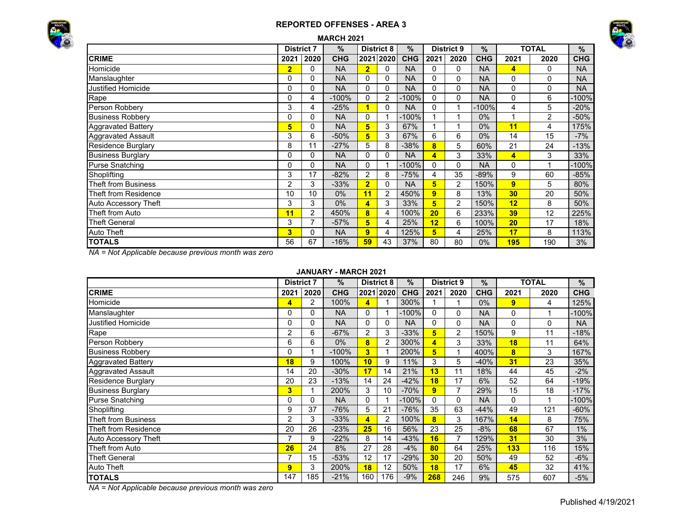



|                            |                | <b>MARCH 2021</b> |            |                |                   |               |                         |                   |            |                 |              |            |  |  |  |  |
|----------------------------|----------------|-------------------|------------|----------------|-------------------|---------------|-------------------------|-------------------|------------|-----------------|--------------|------------|--|--|--|--|
|                            |                | <b>District 7</b> | $\%$       |                | <b>District 8</b> | $\frac{0}{0}$ |                         | <b>District 9</b> | $\%$       |                 | <b>TOTAL</b> | %          |  |  |  |  |
| <b>CRIME</b>               | 2021           | 2020              | <b>CHG</b> |                | 2021 2020         | <b>CHG</b>    | 2021                    | 2020              | <b>CHG</b> | 2021            | 2020         | <b>CHG</b> |  |  |  |  |
| Homicide                   | $\overline{2}$ | 0                 | <b>NA</b>  | $\overline{2}$ | 0                 | <b>NA</b>     | $\Omega$                | 0                 | <b>NA</b>  | 4               | 0            | <b>NA</b>  |  |  |  |  |
| Manslaughter               | 0              | 0                 | <b>NA</b>  | 0              | 0                 | <b>NA</b>     | 0                       | 0                 | <b>NA</b>  | 0               | 0            | <b>NA</b>  |  |  |  |  |
| Justified Homicide         | 0              | 0                 | <b>NA</b>  | 0              | $\Omega$          | <b>NA</b>     | $\Omega$                | $\Omega$          | <b>NA</b>  | 0               | 0            | <b>NA</b>  |  |  |  |  |
| Rape                       | 0              | 4                 | $-100%$    | 0              | $\overline{2}$    | $-100%$       | 0                       | 0                 | <b>NA</b>  | 0               | 6            | -100%      |  |  |  |  |
| Person Robbery             | 3              | 4                 | $-25%$     |                | 0                 | <b>NA</b>     | 0                       |                   | $-100%$    | 4               | 5            | $-20%$     |  |  |  |  |
| <b>Business Robbery</b>    | 0              | 0                 | <b>NA</b>  | 0              |                   | $-100%$       |                         |                   | $0\%$      |                 | 2            | $-50%$     |  |  |  |  |
| <b>Aggravated Battery</b>  | 5              | 0                 | <b>NA</b>  | 5              | 3                 | 67%           |                         |                   | $0\%$      | 11              | 4            | 175%       |  |  |  |  |
| <b>Aggravated Assault</b>  | 3              | 6                 | $-50%$     | 5              | 3                 | 67%           | 6                       | 6                 | $0\%$      | 14              | 15           | $-7%$      |  |  |  |  |
| <b>Residence Burglary</b>  | 8              | 11                | $-27%$     | 5              | 8                 | $-38%$        | 8                       | 5                 | 60%        | 21              | 24           | $-13%$     |  |  |  |  |
| <b>Business Burglary</b>   | 0              | 0                 | <b>NA</b>  | 0              | $\Omega$          | <b>NA</b>     | $\overline{\mathbf{A}}$ | 3                 | 33%        | 4               | 3            | 33%        |  |  |  |  |
| Purse Snatching            | 0              | 0                 | <b>NA</b>  | $\mathbf{0}$   |                   | $-100%$       | $\Omega$                | 0                 | <b>NA</b>  | 0               |              | $-100%$    |  |  |  |  |
| Shoplifting                | 3              | 17                | $-82%$     | 2              | 8                 | $-75%$        | 4                       | 35                | $-89%$     | 9               | 60           | $-85%$     |  |  |  |  |
| <b>Theft from Business</b> | $\overline{2}$ | 3                 | $-33%$     | $\overline{2}$ | 0                 | <b>NA</b>     | 5                       | $\overline{2}$    | 150%       | 9               | 5            | 80%        |  |  |  |  |
| Theft from Residence       | 10             | 10                | $0\%$      | 11             | $\overline{2}$    | 450%          | 9                       | 8                 | 13%        | 30 <sub>2</sub> | 20           | 50%        |  |  |  |  |
| Auto Accessory Theft       | 3              | 3                 | $0\%$      | 4              | 3                 | 33%           | 5                       | 2                 | 150%       | 12              | 8            | 50%        |  |  |  |  |
| Theft from Auto            | 11             | 2                 | 450%       | 8              | 4                 | 100%          | 20                      | 6                 | 233%       | 39              | 12           | 225%       |  |  |  |  |
| <b>Theft General</b>       | 3              |                   | $-57%$     | 5              | 4                 | 25%           | 12                      | 6                 | 100%       | 20              | 17           | 18%        |  |  |  |  |
| Auto Theft                 | 3              | 0                 | <b>NA</b>  | 9              | 4                 | 125%          | 5                       | 4                 | 25%        | 17              | 8            | 113%       |  |  |  |  |
| <b>TOTALS</b>              | 56             | 67                | $-16%$     | 59             | 43                | 37%           | 80                      | 80                | $0\%$      | <b>195</b>      | 190          | 3%         |  |  |  |  |

*NA = Not Applicable because previous month was zero*

### **JANUARY - MARCH 2021**

|                           | <b>District 7</b> |      | $\%$       |                | <b>District 8</b> | %          |                 | <b>District 9</b> | $\%$       |          | <b>TOTAL</b> | %          |
|---------------------------|-------------------|------|------------|----------------|-------------------|------------|-----------------|-------------------|------------|----------|--------------|------------|
| <b>CRIME</b>              | 2021              | 2020 | <b>CHG</b> |                | 2021 2020         | <b>CHG</b> | 2021            | 2020              | <b>CHG</b> | 2021     | 2020         | <b>CHG</b> |
| Homicide                  | 4                 | 2    | 100%       | 4              |                   | 300%       |                 |                   | $0\%$      | 9        | 4            | 125%       |
| Manslaughter              |                   | 0    | <b>NA</b>  | 0              |                   | $-100%$    | 0               | $\Omega$          | <b>NA</b>  | 0        |              | $-100%$    |
| <b>Justified Homicide</b> |                   | 0    | <b>NA</b>  | $\Omega$       | 0                 | <b>NA</b>  | 0               | 0                 | <b>NA</b>  | 0        | 0            | <b>NA</b>  |
| Rape                      | 2                 | 6    | $-67%$     | $\overline{2}$ | 3                 | $-33%$     | 5               | 2                 | 150%       | 9        | 11           | $-18%$     |
| Person Robbery            | 6                 | 6    | $0\%$      | 8              | 2                 | 300%       | 4               | 3                 | 33%        | 18       | 11           | 64%        |
| <b>Business Robberv</b>   |                   |      | $-100%$    | 3              |                   | 200%       | 5               | 1                 | 400%       | 8        | 3            | 167%       |
| <b>Aggravated Battery</b> | 18                | 9    | 100%       | 10             | 9                 | 11%        | 3               | 5                 | $-40%$     | 31       | 23           | 35%        |
| Aggravated Assault        | 14                | 20   | $-30%$     | 17             | 14                | 21%        | 13              | 11                | 18%        | 44       | 45           | $-2%$      |
| <b>Residence Burglary</b> | 20                | 23   | $-13%$     | 14             | 24                | $-42%$     | 18              | 17                | 6%         | 52       | 64           | $-19%$     |
| <b>Business Burglary</b>  | 3                 |      | 200%       | 3              | 10                | $-70%$     | 9               | $\overline{7}$    | 29%        | 15       | 18           | $-17%$     |
| <b>Purse Snatching</b>    |                   | 0    | <b>NA</b>  | $\Omega$       |                   | $-100%$    | 0               | $\Omega$          | <b>NA</b>  | $\Omega$ |              | $-100%$    |
| Shoplifting               | 9                 | 37   | $-76%$     | 5              | 21                | $-76%$     | 35              | 63                | $-44%$     | 49       | 121          | $-60%$     |
| Theft from Business       | 2                 | 3    | $-33%$     | 4              | 2                 | 100%       | 8               | 3                 | 167%       | 14       | 8            | 75%        |
| Theft from Residence      | 20                | 26   | $-23%$     | 25             | 16                | 56%        | 23              | 25                | $-8%$      | 68       | 67           | 1%         |
| Auto Accessory Theft      |                   | 9    | $-22%$     | 8              | 14                | $-43%$     | 16              | $\overline{7}$    | 129%       | 31       | 30           | 3%         |
| Theft from Auto           | 26                | 24   | 8%         | 27             | 28                | $-4%$      | 80              | 64                | 25%        | 133      | 116          | 15%        |
| <b>Theft General</b>      |                   | 15   | $-53%$     | 12             | 17                | $-29%$     | 30 <sub>2</sub> | 20                | 50%        | 49       | 52           | $-6%$      |
| <b>Auto Theft</b>         | $\overline{9}$    | 3    | 200%       | 18             | 12                | 50%        | 18              | 17                | 6%         | 45       | 32           | 41%        |
| <b>TOTALS</b>             | 147               | 185  | $-21%$     | 160            | 176               | $-9%$      | 268             | 246               | 9%         | 575      | 607          | $-5%$      |